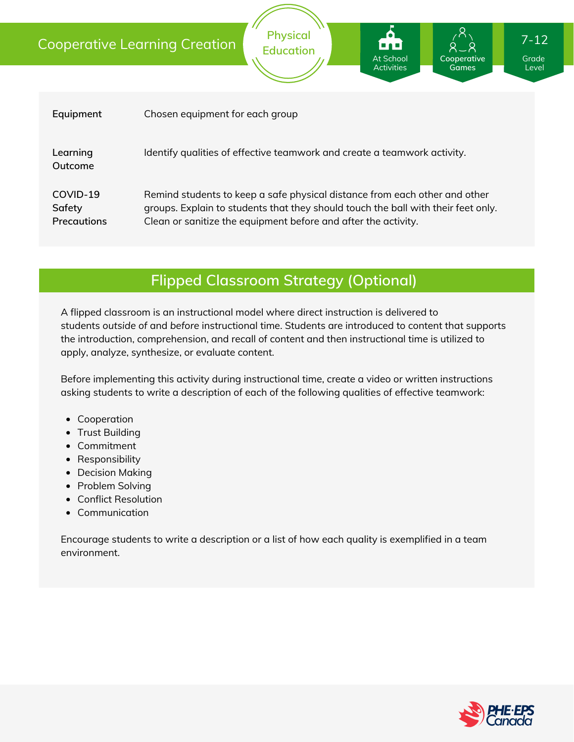# Cooperative Learning Creation

| Equipment                         | Chosen equipment for each group                                                                                                                                                                                                   |
|-----------------------------------|-----------------------------------------------------------------------------------------------------------------------------------------------------------------------------------------------------------------------------------|
| Learning<br>Outcome               | Identify qualities of effective teamwork and create a teamwork activity.                                                                                                                                                          |
| COVID-19<br>Safety<br>Precautions | Remind students to keep a safe physical distance from each other and other<br>groups. Explain to students that they should touch the ball with their feet only.<br>Clean or sanitize the equipment before and after the activity. |

**Physical Education**

### **Flipped Classroom Strategy (Optional)**

A flipped classroom is an instructional model where direct instruction is delivered to students *outside of* and *before* instructional time. Students are introduced to content that supports the introduction, comprehension, and recall of content and then instructional time is utilized to apply, analyze, synthesize, or evaluate content.

Before implementing this activity during instructional time, create a video or written instructions asking students to write a description of each of the following qualities of effective teamwork:

- Cooperation
- Trust Building
- Commitment
- Responsibility
- Decision Making
- Problem Solving
- Conflict Resolution
- Communication

Encourage students to write a description or a list of how each quality is exemplified in a team environment.



Grade Level

**Cooperative Games**

At School **Activities** 

7-12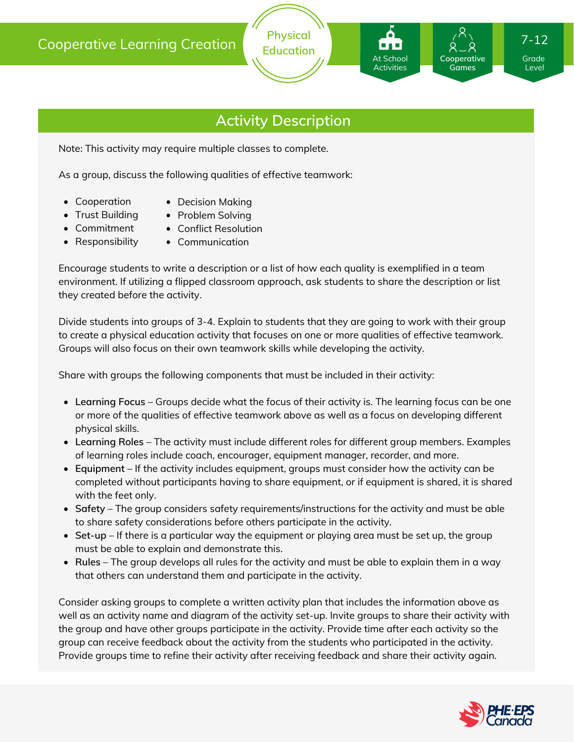### **Activity Description**

**Physical Education**

Note: This activity may require multiple classes to complete.

As a group, discuss the following qualities of effective teamwork:

- Cooperation
- Decision Making
- Trust Building
- Problem Solving
- Commitment
- Conflict Resolution
- Responsibility
- Communication

Encourage students to write a description or a list of how each quality is exemplified in a team environment. If utilizing a flipped classroom approach, ask students to share the description or list they created before the activity.

Divide students into groups of 3-4. Explain to students that they are going to work with their group to create a physical education activity that focuses on one or more qualities of effective teamwork. Groups will also focus on their own teamwork skills while developing the activity.

Share with groups the following components that must be included in their activity:

- **Learning Focus** Groups decide what the focus of their activity is. The learning focus can be one or more of the qualities of effective teamwork above as well as a focus on developing different physical skills.
- **Learning Roles** The activity must include different roles for different group members. Examples of learning roles include coach, encourager, equipment manager, recorder, and more.
- **Equipment** If the activity includes equipment, groups must consider how the activity can be completed without participants having to share equipment, or if equipment is shared, it is shared with the feet only.
- **Safety** The group considers safety requirements/instructions for the activity and must be able to share safety considerations before others participate in the activity.
- **Set-up** If there is a particular way the equipment or playing area must be set up, the group must be able to explain and demonstrate this.
- **Rules** The group develops all rules for the activity and must be able to explain them in a way that others can understand them and participate in the activity.

Consider asking groups to complete a written activity plan that includes the information above as well as an activity name and diagram of the activity set-up. Invite groups to share their activity with the group and have other groups participate in the activity. Provide time after each activity so the group can receive feedback about the activity from the students who participated in the activity. Provide groups time to refine their activity after receiving feedback and share their activity again.



Grade Level

**Cooperative Games**

At School Activities 7-12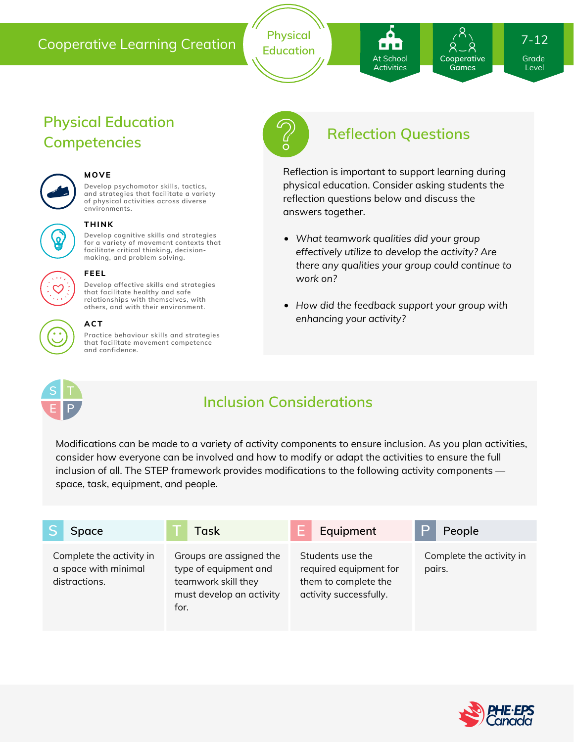#### Cooperative Learning Creation

**Develop cognitive skills and strategies for a variety of movement contexts that facilitate critical thinking, decision making, and problem solving.**

**Develop psychomotor skills, tactics, and strategies that facilitate a variety of physical activities across diverse**

**Develop affective skills and strategies that facilitate healthy and safe relationships with themselves, with others, and with their environment.**

**Practice behaviour skills and strategies that facilitate movement competence**

**Physical Education**

**Competencies**

**THINK**

**MOVE**

**environments.**

**FEEL**

**ACT**

**and confidence.**

**Physical Education**

**Reflection Questions**

At School **Activities** 

Reflection is important to support learning during physical education. Consider asking students the reflection questions below and discuss the answers together.

- *What teamwork qualities did your group effectively utilize to develop the activity? Are there any qualities your group could continue to work on?*
- *How did the feedback support your group with enhancing your activity?*



## **Inclusion Considerations**

Modifications can be made to a variety of activity components to ensure inclusion. As you plan activities, consider how everyone can be involved and how to modify or adapt the activities to ensure the full inclusion of all. The STEP framework provides modifications to the following activity components space, task, equipment, and people.

| Space                                                             | Task                                                                                                        | Equipment                                                                                    | People                             |
|-------------------------------------------------------------------|-------------------------------------------------------------------------------------------------------------|----------------------------------------------------------------------------------------------|------------------------------------|
| Complete the activity in<br>a space with minimal<br>distractions. | Groups are assigned the<br>type of equipment and<br>teamwork skill they<br>must develop an activity<br>for. | Students use the<br>required equipment for<br>them to complete the<br>activity successfully. | Complete the activity in<br>pairs. |





# 7-12

**Cooperative Games**

Grade Level